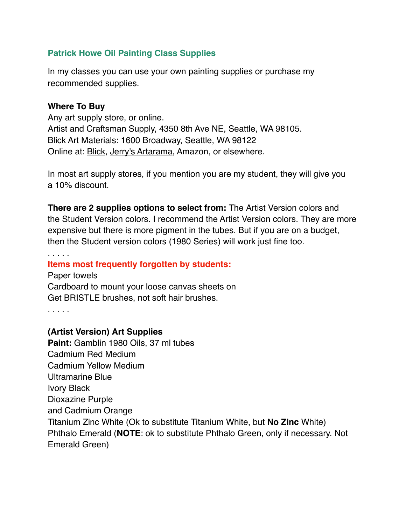# **Patrick Howe Oil Painting Class Supplies**

In my classes you can use your own painting supplies or purchase my recommended supplies.

## **Where To Buy**

Any art supply store, or online. Artist and Craftsman Supply, 4350 8th Ave NE, Seattle, WA 98105. Blick Art Materials: 1600 Broadway, Seattle, WA 98122 Online at: [Blick,](https://www.dickblick.com/?gclid=CjwKCAjwkYGVBhArEiwA4sZLuEMANS_kw-tRTFuiCsbrmlu8wkiT-nzo6ly-OntHYsTzktilIDxYGhoCVQUQAvD_BwE) [Jerry's Artarama](https://www.jerrysartarama.com/), Amazon, or elsewhere.

In most art supply stores, if you mention you are my student, they will give you a 10% discount.

**There are 2 supplies options to select from:** The Artist Version colors and the Student Version colors. I recommend the Artist Version colors. They are more expensive but there is more pigment in the tubes. But if you are on a budget, then the Student version colors (1980 Series) will work just fine too.

#### . . . . . **Items most frequently forgotten by students:**

Paper towels Cardboard to mount your loose canvas sheets on Get BRISTLE brushes, not soft hair brushes.

. . . . .

## **(Artist Version) Art Supplies**

**Paint:** Gamblin 1980 Oils, 37 ml tubes Cadmium Red Medium Cadmium Yellow Medium Ultramarine Blue Ivory Black Dioxazine Purple and Cadmium Orange Titanium Zinc White (Ok to substitute Titanium White, but **No Zinc** White) Phthalo Emerald (**NOTE**: ok to substitute Phthalo Green, only if necessary. Not Emerald Green)